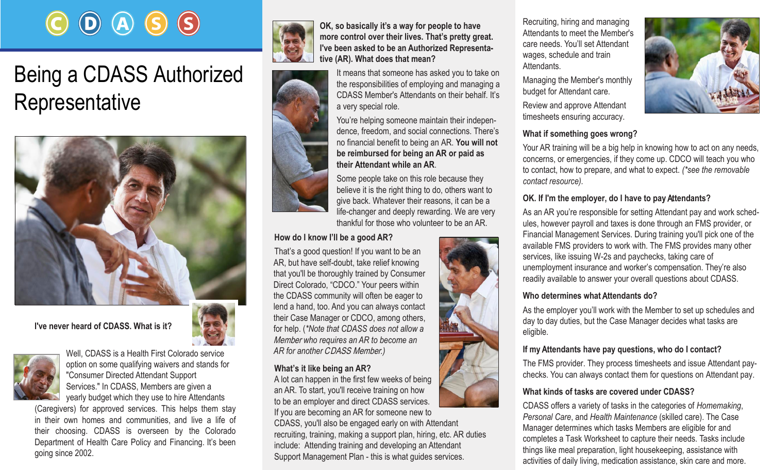# $\left(\mathsf{D}\right)\left(\mathsf{A}\right)\left(\mathsf{S}\right)\left(\mathsf{S}\right)$

## Being a CDASS Authorized Representative



**I've never heard of CDASS. What is it?** 



Well, CDASS is a Health First Colorado service option on some qualifying waivers and stands for "Consumer Directed Attendant Support Services." In CDASS, Members are given a yearly budget which they use to hire Attendants

(Caregivers) for approved services. This helps them stay in their own homes and communities, and live a life of their choosing. CDASS is overseen by the Colorado Department of Health Care Policy and Financing. It's been going since 2002.





**OK, so basically it's a way for people to have more control over their lives. That's pretty great. I've been asked to be an Authorized Representative (AR). What does that mean?**

It means that someone has asked you to take on the responsibilities of employing and managing a CDASS Member's Attendants on their behalf. It's a very special role.

You're helping someone maintain their independence, freedom, and social connections. There's no financial benefit to being an AR. **You will not be reimbursed for being an AR or paid as their** A**ttendant while an AR**.

Some people take on this role because they believe it is the right thing to do, others want to give back. Whatever their reasons, it can be a life-changer and deeply rewarding. We are very thankful for those who volunteer to be an AR.

#### **How do I know I'll be a good AR?**

That's a good question! If you want to be an AR, but have self-doubt, take relief knowing that you'll be thoroughly trained by Consumer Direct Colorado, "CDCO." Your peers within the CDASS community will often be eager to lend a hand, too. And you can always contact their Case Manager or CDCO, among others, for help. (*\*Note that CDASS does not allow a*  Member *who requires an AR to become an AR for another* CDASS Member*.)*

#### **What's it like being an AR?**

A lot can happen in the first few weeks of being an AR. To start, you'll receive training on how to be an employer and direct CDASS services. If you are becoming an AR for someone new to

CDASS, you'll also be engaged early on with Attendant recruiting, training, making a support plan, hiring, etc. AR duties include: Attending training and developing an Attendant Support Management Plan - this is what guides services.

Recruiting, hiring and managing Attendants to meet the Member's care needs. You'll set Attendant wages, schedule and train **Attendants** 

Managing the Member's monthly budget for Attendant care.

Review and approve Attendant timesheets ensuring accuracy.

#### **What if something goes wrong?**

Your AR training will be a big help in knowing how to act on any needs, concerns, or emergencies, if they come up. CDCO will teach you who to contact, how to prepare, and what to expect. *(\*see the removable contact resource).*

#### **OK. If I'm the employer, do I have to pay** A**ttendants?**

As an AR you're responsible for setting Attendant pay and work schedules, however payroll and taxes is done through an FMS provider, or Financial Management Services. During training you'll pick one of the available FMS providers to work with. The FMS provides many other services, like issuing W-2s and paychecks, taking care of unemployment insurance and worker's compensation. They're also readily available to answer your overall questions about CDASS.

#### **Who determines what** A**ttendants do?**

As the employer you'll work with the Member to set up schedules and day to day duties, but the Case Manager decides what tasks are eligible.

#### **If my** A**ttendants have pay questions, who do I contact?**

The FMS provider. They process timesheets and issue Attendant paychecks. You can always contact them for questions on Attendant pay.

#### **What kinds of tasks are covered under CDASS?**

CDASS offers a variety of tasks in the categories of *Homemaking*, *Personal Care*, and *Health Maintenance* (skilled care). The Case Manager determines which tasks Members are eligible for and completes a Task Worksheet to capture their needs. Tasks include things like meal preparation, light housekeeping, assistance with activities of daily living, medication assistance, skin care and more.